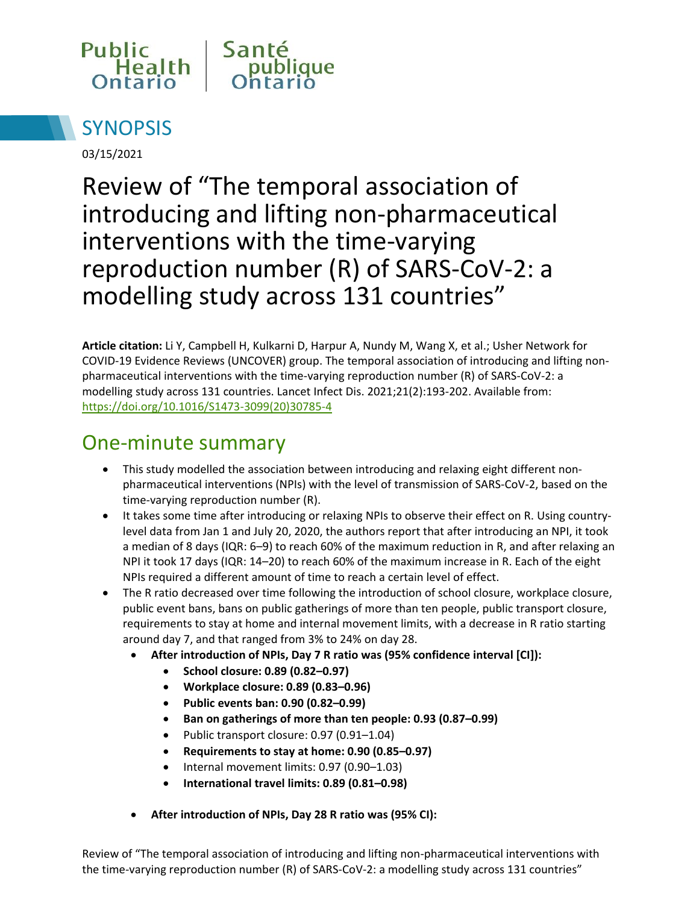



03/15/2021

Review of "The temporal association of introducing and lifting non-pharmaceutical interventions with the time-varying reproduction number (R) of SARS-CoV-2: a modelling study across 131 countries"

**Article citation:** Li Y, Campbell H, Kulkarni D, Harpur A, Nundy M, Wang X, et al.; Usher Network for COVID-19 Evidence Reviews (UNCOVER) group. The temporal association of introducing and lifting nonpharmaceutical interventions with the time-varying reproduction number (R) of SARS-CoV-2: a modelling study across 131 countries. Lancet Infect Dis. 2021;21(2):193-202. Available from: [https://doi.org/10.1016/S1473-3099\(20\)30785-4](https://doi.org/10.1016/S1473-3099(20)30785-4)

### One-minute summary

- This study modelled the association between introducing and relaxing eight different nonpharmaceutical interventions (NPIs) with the level of transmission of SARS-CoV-2, based on the time-varying reproduction number (R).
- It takes some time after introducing or relaxing NPIs to observe their effect on R. Using countrylevel data from Jan 1 and July 20, 2020, the authors report that after introducing an NPI, it took a median of 8 days (IQR: 6–9) to reach 60% of the maximum reduction in R, and after relaxing an NPI it took 17 days (IQR: 14–20) to reach 60% of the maximum increase in R. Each of the eight NPIs required a different amount of time to reach a certain level of effect.
- The R ratio decreased over time following the introduction of school closure, workplace closure, public event bans, bans on public gatherings of more than ten people, public transport closure, requirements to stay at home and internal movement limits, with a decrease in R ratio starting around day 7, and that ranged from 3% to 24% on day 28.
	- **After introduction of NPIs, Day 7 R ratio was (95% confidence interval [CI]):** 
		- **School closure: 0.89 (0.82–0.97)**
		- **Workplace closure: 0.89 (0.83–0.96)**
		- **Public events ban: 0.90 (0.82–0.99)**
		- **Ban on gatherings of more than ten people: 0.93 (0.87–0.99)**
		- Public transport closure: 0.97 (0.91-1.04)
		- **Requirements to stay at home: 0.90 (0.85–0.97)**
		- $\bullet$  Internal movement limits: 0.97 (0.90-1.03)
		- **International travel limits: 0.89 (0.81–0.98)**
	- **After introduction of NPIs, Day 28 R ratio was (95% CI):**

Review of "The temporal association of introducing and lifting non-pharmaceutical interventions with the time-varying reproduction number (R) of SARS-CoV-2: a modelling study across 131 countries"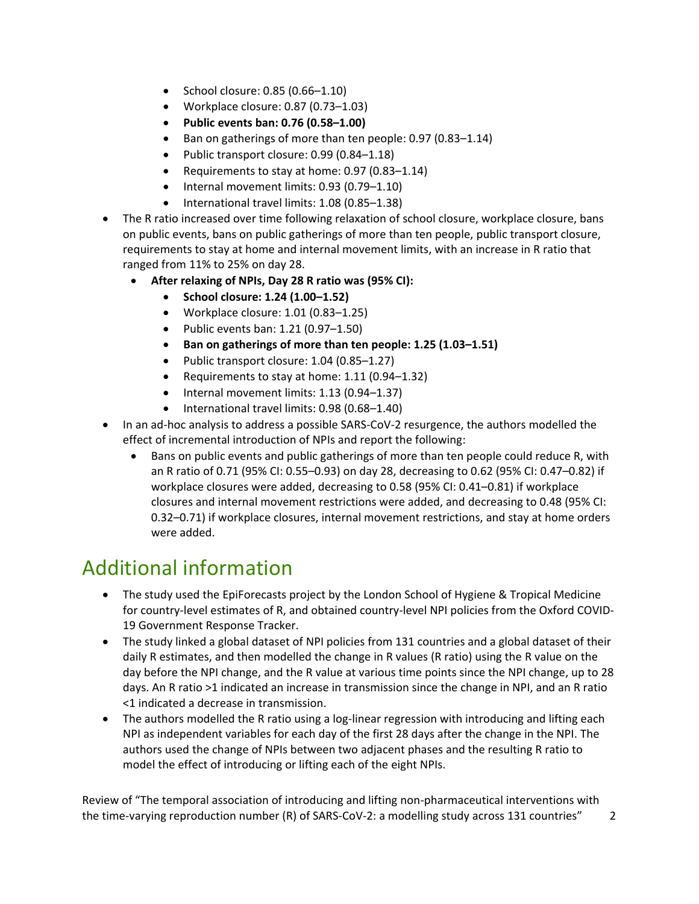- $\bullet$  School closure: 0.85 (0.66-1.10)
- Workplace closure: 0.87 (0.73–1.03)
- **Public events ban: 0.76 (0.58–1.00)**
- Ban on gatherings of more than ten people: 0.97 (0.83–1.14)
- Public transport closure: 0.99 (0.84-1.18)
- Requirements to stay at home:  $0.97$  ( $0.83-1.14$ )
- $\bullet$  Internal movement limits: 0.93 (0.79-1.10)
- International travel limits: 1.08 (0.85-1.38)
- The R ratio increased over time following relaxation of school closure, workplace closure, bans on public events, bans on public gatherings of more than ten people, public transport closure, requirements to stay at home and internal movement limits, with an increase in R ratio that ranged from 11% to 25% on day 28.
	- **After relaxing of NPIs, Day 28 R ratio was (95% CI):** 
		- **School closure: 1.24 (1.00–1.52)**
		- Workplace closure:  $1.01$  (0.83-1.25)
		- Public events ban:  $1.21$  (0.97– $1.50$ )
		- **Ban on gatherings of more than ten people: 1.25 (1.03–1.51)**
		- Public transport closure: 1.04 (0.85-1.27)
		- Requirements to stay at home: 1.11 (0.94–1.32)
		- $\bullet$  Internal movement limits: 1.13 (0.94-1.37)
		- International travel limits: 0.98 (0.68-1.40)
- In an ad-hoc analysis to address a possible SARS-CoV-2 resurgence, the authors modelled the effect of incremental introduction of NPIs and report the following:
	- Bans on public events and public gatherings of more than ten people could reduce R, with an R ratio of 0.71 (95% CI: 0.55–0.93) on day 28, decreasing to 0.62 (95% CI: 0.47–0.82) if workplace closures were added, decreasing to 0.58 (95% CI: 0.41–0.81) if workplace closures and internal movement restrictions were added, and decreasing to 0.48 (95% CI: 0.32–0.71) if workplace closures, internal movement restrictions, and stay at home orders were added.

## Additional information

- The study used the EpiForecasts project by the London School of Hygiene & Tropical Medicine for country-level estimates of R, and obtained country-level NPI policies from the Oxford COVID-19 Government Response Tracker.
- The study linked a global dataset of NPI policies from 131 countries and a global dataset of their daily R estimates, and then modelled the change in R values (R ratio) using the R value on the day before the NPI change, and the R value at various time points since the NPI change, up to 28 days. An R ratio >1 indicated an increase in transmission since the change in NPI, and an R ratio <1 indicated a decrease in transmission.
- The authors modelled the R ratio using a log-linear regression with introducing and lifting each NPI as independent variables for each day of the first 28 days after the change in the NPI. The authors used the change of NPIs between two adjacent phases and the resulting R ratio to model the effect of introducing or lifting each of the eight NPIs.

Review of "The temporal association of introducing and lifting non-pharmaceutical interventions with the time-varying reproduction number (R) of SARS-CoV-2: a modelling study across 131 countries" 2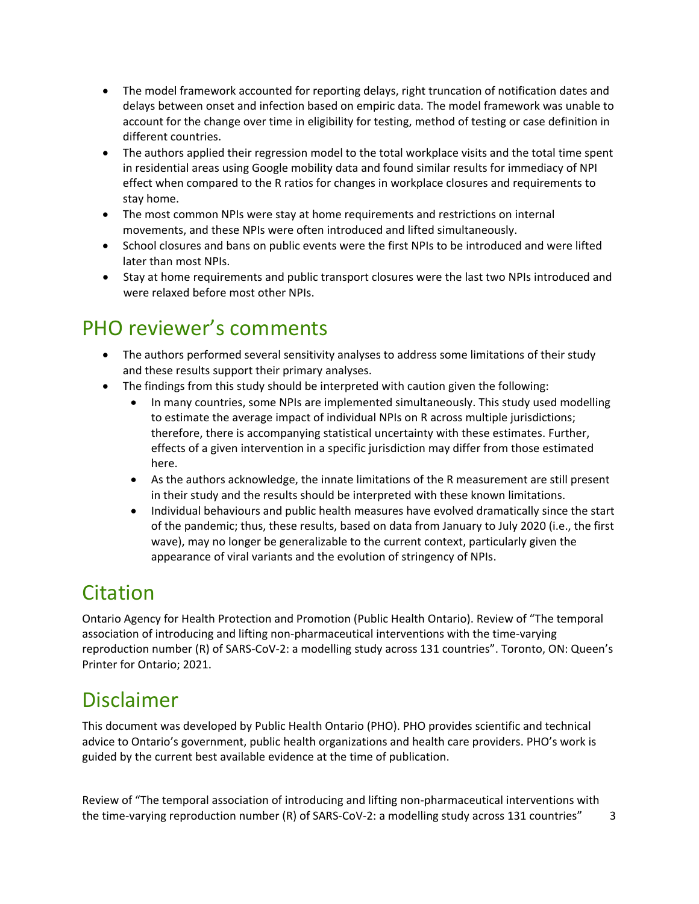- The model framework accounted for reporting delays, right truncation of notification dates and delays between onset and infection based on empiric data. The model framework was unable to account for the change over time in eligibility for testing, method of testing or case definition in different countries.
- The authors applied their regression model to the total workplace visits and the total time spent in residential areas using Google mobility data and found similar results for immediacy of NPI effect when compared to the R ratios for changes in workplace closures and requirements to stay home.
- The most common NPIs were stay at home requirements and restrictions on internal movements, and these NPIs were often introduced and lifted simultaneously.
- School closures and bans on public events were the first NPIs to be introduced and were lifted later than most NPIs.
- Stay at home requirements and public transport closures were the last two NPIs introduced and were relaxed before most other NPIs.

## PHO reviewer's comments

- The authors performed several sensitivity analyses to address some limitations of their study and these results support their primary analyses.
- The findings from this study should be interpreted with caution given the following:
	- In many countries, some NPIs are implemented simultaneously. This study used modelling to estimate the average impact of individual NPIs on R across multiple jurisdictions; therefore, there is accompanying statistical uncertainty with these estimates. Further, effects of a given intervention in a specific jurisdiction may differ from those estimated here.
	- As the authors acknowledge, the innate limitations of the R measurement are still present in their study and the results should be interpreted with these known limitations.
	- Individual behaviours and public health measures have evolved dramatically since the start of the pandemic; thus, these results, based on data from January to July 2020 (i.e., the first wave), may no longer be generalizable to the current context, particularly given the appearance of viral variants and the evolution of stringency of NPIs.

# Citation

Ontario Agency for Health Protection and Promotion (Public Health Ontario). Review of "The temporal association of introducing and lifting non-pharmaceutical interventions with the time-varying reproduction number (R) of SARS-CoV-2: a modelling study across 131 countries". Toronto, ON: Queen's Printer for Ontario; 2021.

## Disclaimer

This document was developed by Public Health Ontario (PHO). PHO provides scientific and technical advice to Ontario's government, public health organizations and health care providers. PHO's work is guided by the current best available evidence at the time of publication.

Review of "The temporal association of introducing and lifting non-pharmaceutical interventions with the time-varying reproduction number (R) of SARS-CoV-2: a modelling study across 131 countries" 3